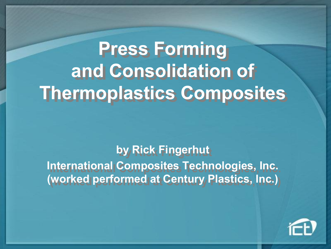# **Press Forming Press Forming and Consolidation of and Consolidation of Thermoplastics Composites Thermoplastics Composites**

**by Rick Fingerhut by Rick Fingerhut International Composites Technologies, Inc. International Composites Technologies, Inc. (worked performed at Century Plastics, Inc.) (worked performed at Century Plastics, Inc.)**

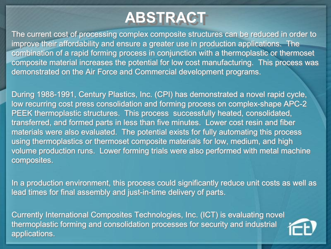### **ABSTRACT**

The current cost of processing complex composite structures can be reduced in order to The current cost of processing complex composite structures can be reduced in order to improve their affordability and ensure a greater use in production applications. The combination of a rapid forming process in conjunction with a thermoplastic or thermoset combination of a rapid forming process in conjunction with a thermoplastic or thermoset composite material increases the potential for low cost manufacturing. This process was composite material increases the potential for low cost manufacturing. This process was demonstrated on the Air Force and Commercial development programs. demonstrated on the Air Force and Commercial development programs.

During 1988-1991, Century Plastics, Inc. (CPI) has demonstrated a novel rapid cycle, low recurring cost press consolidation and forming process on complex-shape APC-2 PEEK thermoplastic structures. This process successfully heated, consolidated, PEEK thermoplastic structures. This process successfully heated, consolidated, transferred, and formed parts in less than five minutes. Lower cost resin and fiber transferred, and formed parts in less than five minutes. Lower cost resin and fiber materials were also evaluated. The potential exists for fully automating this process materials were also evaluated. The potential exists for fully automating this process using thermoplastics or thermoset composite materials for low, medium, and high using thermoplastics or thermoset composite materials for low, medium, and high volume production runs. Lower forming trials were also performed with metal machine volume production runs. Lower forming trials were also performed with metal machine composites. composites.

In a production environment, this process could significantly reduce unit costs as well as In a production environment, this process could significantly reduce unit costs as well as lead times for final assembly and just-in-time delivery of parts.

Currently International Composites Technologies, Inc. (ICT) is evaluating novel Currently International Composites Technologies, Inc. (ICT) is evaluating novel thermoplastic forming and consolidation processes for security and industrial thermoplastic forming and consolidation processes for security and industrial applications. applications.

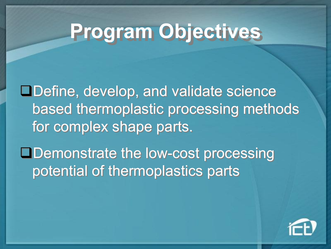# **Program Objectives**

□Define, develop, and validate science based thermoplastic processing methods based thermoplastic processing methods for complex shape parts. for complex shape parts.

**□Demonstrate the low-cost processing** potential of thermoplastics parts potential of thermoplastics parts

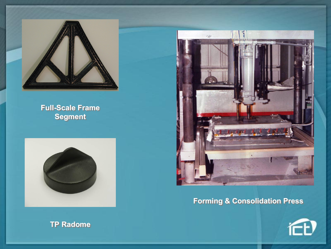

#### **Full-Scale Frame Segment**







### **Forming & Consolidation Press**

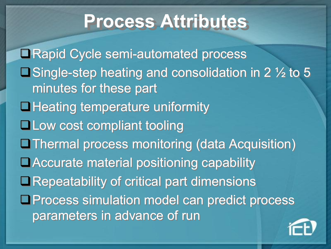## **Process Attributes**

■Rapid Cycle semi-automated process **O** Single-step heating and consolidation in 2  $\frac{1}{2}$  to 5 minutes for these part minutes for these part **QHeating temperature uniformity QLow cost compliant tooling QThermal process monitoring (data Acquisition)** ■ Accurate material positioning capability **ORepeatability of critical part dimensions OProcess simulation model can predict process** parameters in advance of run parameters in advance of run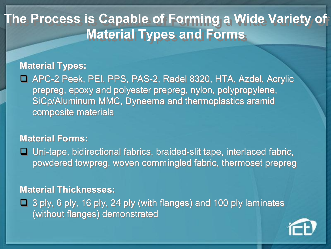### **The Process is Capable of Forming a Wide Variety of The Process is Capable of Forming a Wide Variety of Material Types and Forms Material Types and Forms**

### **Material Types: Material Types:**

□ APC-2 Peek, PEI, PPS, PAS-2, Radel 8320, HTA, Azdel, Acrylic prepreg, epoxy and polyester prepreg, nylon, polypropylene, prepreg, epoxy and polyester prepreg, nylon, polypropylene, SiCp/Aluminum MMC, Dyneema and thermoplastics aramid SiCp/Aluminum MMC, Dyneema and thermoplastics aramid composite materials composite materials

### **Material Forms: Material Forms:**

□ Uni-tape, bidirectional fabrics, braided-slit tape, interlaced fabric, powdered towpreg, woven commingled fabric, thermoset prepreg powdered towpreg, woven commingled fabric, thermoset prepreg

### **Material Thicknesses: Material Thicknesses:**

 $\Box$  3 ply, 6 ply, 16 ply, 24 ply (with flanges) and 100 ply laminates (without flanges) demonstrated (without flanges) demonstrated

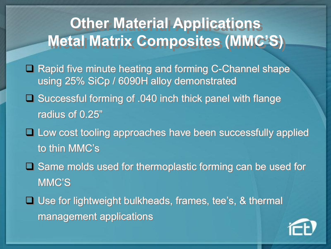## **Other Material Applications Other Material Applications Metal Matrix Composites (MMC'S) Metal Matrix Composites (MMC'S)**

- □ Rapid five minute heating and forming C-Channel shape using 25% SiCp / 6090H alloy demonstrated using 25% SiCp / 6090H alloy demonstrated
- □ Successful forming of .040 inch thick panel with flange radius of 0.25" radius of 0.25"
- **Q Low cost tooling approaches have been successfully applied** to thin MMC's to thin MMC's
- □ Same molds used for thermoplastic forming can be used for MMC'S MMC'S
- □ Use for lightweight bulkheads, frames, tee's, & thermal management applications management applications